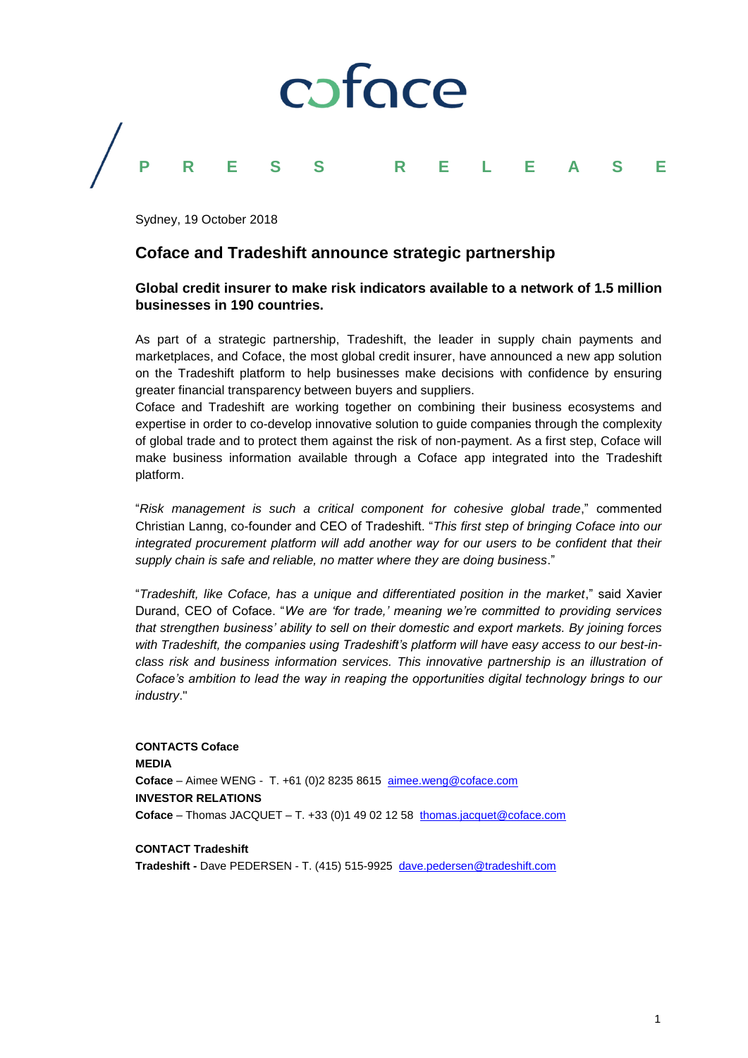

Sydney, 19 October 2018

## **Coface and Tradeshift announce strategic partnership**

### **Global credit insurer to make risk indicators available to a network of 1.5 million businesses in 190 countries.**

As part of a strategic partnership, Tradeshift, the leader in supply chain payments and marketplaces, and Coface, the most global credit insurer, have announced a new app solution on the Tradeshift platform to help businesses make decisions with confidence by ensuring greater financial transparency between buyers and suppliers.

Coface and Tradeshift are working together on combining their business ecosystems and expertise in order to co-develop innovative solution to guide companies through the complexity of global trade and to protect them against the risk of non-payment. As a first step, Coface will make business information available through a Coface app integrated into the Tradeshift platform.

"*Risk management is such a critical component for cohesive global trade*," commented Christian Lanng, co-founder and CEO of Tradeshift. "*This first step of bringing Coface into our integrated procurement platform will add another way for our users to be confident that their supply chain is safe and reliable, no matter where they are doing business*."

"*Tradeshift, like Coface, has a unique and differentiated position in the market*," said Xavier Durand, CEO of Coface. "*We are 'for trade,' meaning we're committed to providing services that strengthen business' ability to sell on their domestic and export markets. By joining forces*  with Tradeshift, the companies using Tradeshift's platform will have easy access to our best-in*class risk and business information services. This innovative partnership is an illustration of Coface's ambition to lead the way in reaping the opportunities digital technology brings to our industry*."

**CONTACTS Coface MEDIA Coface** – Aimee WENG - T. +61 (0)2 8235 8615 [aimee.weng@coface.com](mailto:aimee.weng@coface.com) **INVESTOR RELATIONS** Coface – Thomas JACQUET – T. +33 (0)1 49 02 12 58 [thomas.jacquet@coface.com](mailto:thomas.jacquet@coface.com)

**CONTACT Tradeshift**

**Tradeshift -** Dave PEDERSEN - T. (415) 515-9925 [dave.pedersen@tradeshift.com](mailto:dave.pedersen@tradeshift.com)